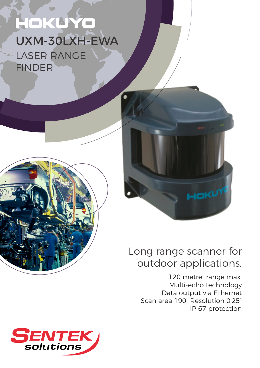# HOKUY  $\mathcal{L}$ UXM-30LXH-EWA LASER RANGE FINDER





# Long range scanner for outdoor applications.

120 metre range max. Multi-echo technology Data output via Ethernet Scan area 190° Resolution 0.25° IP 67 protection